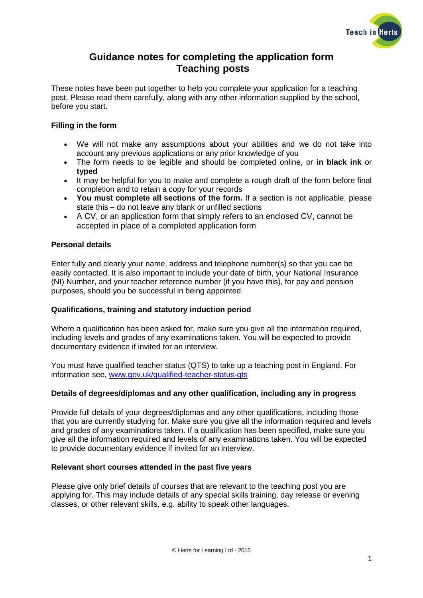

# **Guidance notes for completing the application form Teaching posts**

These notes have been put together to help you complete your application for a teaching post. Please read them carefully, along with any other information supplied by the school, before you start.

# **Filling in the form**

- We will not make any assumptions about your abilities and we do not take into account any previous applications or any prior knowledge of you
- The form needs to be legible and should be completed online, or **in black ink** or **typed**
- It may be helpful for you to make and complete a rough draft of the form before final completion and to retain a copy for your records
- **You must complete all sections of the form.** If a section is not applicable, please state this – do not leave any blank or unfilled sections
- A CV, or an application form that simply refers to an enclosed CV, cannot be accepted in place of a completed application form

# **Personal details**

Enter fully and clearly your name, address and telephone number(s) so that you can be easily contacted. It is also important to include your date of birth, your National Insurance (NI) Number, and your teacher reference number (if you have this)*,* for pay and pension purposes, should you be successful in being appointed.

## **Qualifications, training and statutory induction period**

Where a qualification has been asked for, make sure you give all the information required, including levels and grades of any examinations taken. You will be expected to provide documentary evidence if invited for an interview.

You must have qualified teacher status (QTS) to take up a teaching post in England. For information see, [www.gov.uk/qualified-teacher-status-qts](http://www.gov.uk/qualified-teacher-status-qts)

## **Details of degrees/diplomas and any other qualification, including any in progress**

Provide full details of your degrees/diplomas and any other qualifications, including those that you are currently studying for. Make sure you give all the information required and levels and grades of any examinations taken. If a qualification has been specified, make sure you give all the information required and levels of any examinations taken. You will be expected to provide documentary evidence if invited for an interview.

## **Relevant short courses attended in the past five years**

Please give only brief details of courses that are relevant to the teaching post you are applying for. This may include details of any special skills training, day release or evening classes, or other relevant skills, e.g. ability to speak other languages.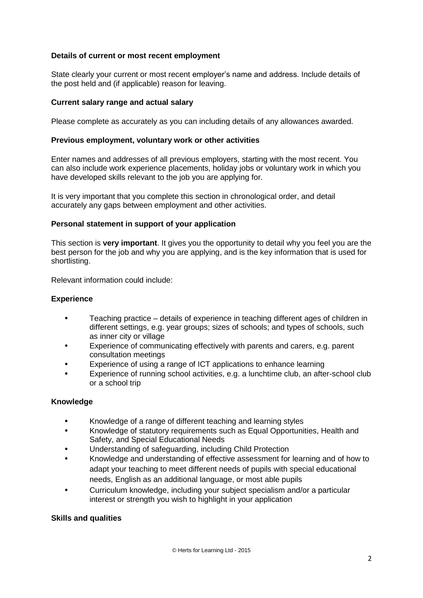## **Details of current or most recent employment**

State clearly your current or most recent employer's name and address. Include details of the post held and (if applicable) reason for leaving.

### **Current salary range and actual salary**

Please complete as accurately as you can including details of any allowances awarded.

#### **Previous employment, voluntary work or other activities**

Enter names and addresses of all previous employers, starting with the most recent. You can also include work experience placements, holiday jobs or voluntary work in which you have developed skills relevant to the job you are applying for.

It is very important that you complete this section in chronological order, and detail accurately any gaps between employment and other activities.

#### **Personal statement in support of your application**

This section is **very important**. It gives you the opportunity to detail why you feel you are the best person for the job and why you are applying, and is the key information that is used for shortlisting.

Relevant information could include:

#### **Experience**

- **•** Teaching practice details of experience in teaching different ages of children in different settings, e.g. year groups; sizes of schools; and types of schools, such as inner city or village
- **•** Experience of communicating effectively with parents and carers, e.g. parent consultation meetings
- **•** Experience of using a range of ICT applications to enhance learning
- **•** Experience of running school activities, e.g. a lunchtime club, an after-school club or a school trip

## **Knowledge**

- **•** Knowledge of a range of different teaching and learning styles
- **•** Knowledge of statutory requirements such as Equal Opportunities, Health and Safety, and Special Educational Needs
- **•** Understanding of safeguarding, including Child Protection
- **•** Knowledge and understanding of effective assessment for learning and of how to adapt your teaching to meet different needs of pupils with special educational needs, English as an additional language, or most able pupils
- **•** Curriculum knowledge, including your subject specialism and/or a particular interest or strength you wish to highlight in your application

#### **Skills and qualities**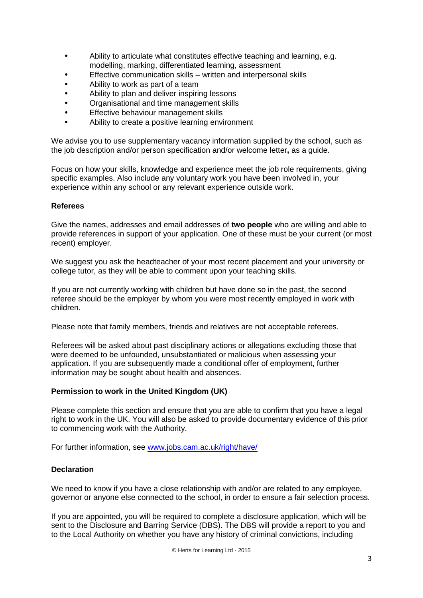- **•** Ability to articulate what constitutes effective teaching and learning, e.g. modelling, marking, differentiated learning, assessment
- **•** Effective communication skills written and interpersonal skills
- **•** Ability to work as part of a team
- **•** Ability to plan and deliver inspiring lessons
- **•** Organisational and time management skills
- **•** Effective behaviour management skills
- **•** Ability to create a positive learning environment

We advise you to use supplementary vacancy information supplied by the school, such as the job description and/or person specification and/or welcome letter**,** as a guide.

Focus on how your skills, knowledge and experience meet the job role requirements, giving specific examples. Also include any voluntary work you have been involved in, your experience within any school or any relevant experience outside work.

#### **Referees**

Give the names, addresses and email addresses of **two people** who are willing and able to provide references in support of your application. One of these must be your current (or most recent) employer.

We suggest you ask the headteacher of your most recent placement and your university or college tutor, as they will be able to comment upon your teaching skills.

If you are not currently working with children but have done so in the past, the second referee should be the employer by whom you were most recently employed in work with children.

Please note that family members, friends and relatives are not acceptable referees.

Referees will be asked about past disciplinary actions or allegations excluding those that were deemed to be unfounded, unsubstantiated or malicious when assessing your application. If you are subsequently made a conditional offer of employment, further information may be sought about health and absences.

#### **Permission to work in the United Kingdom (UK)**

Please complete this section and ensure that you are able to confirm that you have a legal right to work in the UK. You will also be asked to provide documentary evidence of this prior to commencing work with the Authority.

For further information, see [www.jobs.cam.ac.uk/right/have/](http://www.jobs.cam.ac.uk/right/have/)

## **Declaration**

We need to know if you have a close relationship with and/or are related to any employee, governor or anyone else connected to the school, in order to ensure a fair selection process.

If you are appointed, you will be required to complete a disclosure application, which will be sent to the Disclosure and Barring Service (DBS). The DBS will provide a report to you and to the Local Authority on whether you have any history of criminal convictions, including